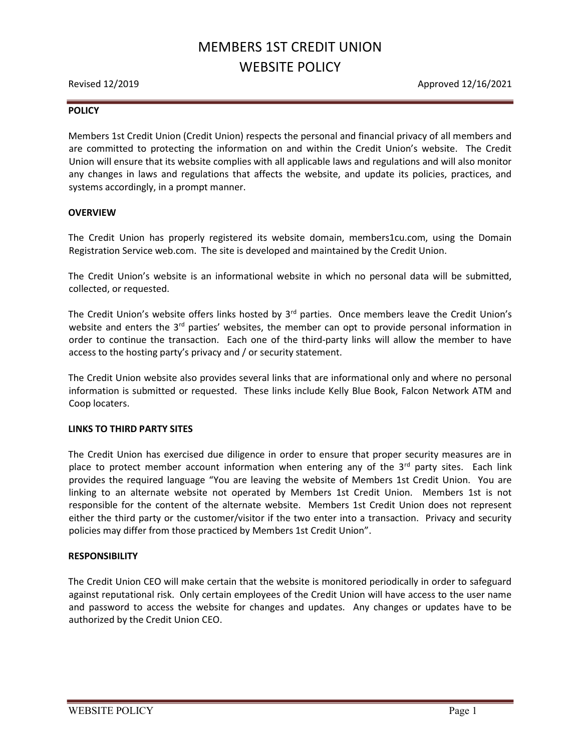# MEMBERS 1ST CREDIT UNION WEBSITE POLICY

Revised 12/2019 **Approved 12/16/2021** 

#### **POLICY**

Members 1st Credit Union (Credit Union) respects the personal and financial privacy of all members and are committed to protecting the information on and within the Credit Union's website. The Credit Union will ensure that its website complies with all applicable laws and regulations and will also monitor any changes in laws and regulations that affects the website, and update its policies, practices, and systems accordingly, in a prompt manner.

#### **OVERVIEW**

The Credit Union has properly registered its website domain, members1cu.com, using the Domain Registration Service web.com. The site is developed and maintained by the Credit Union.

The Credit Union's website is an informational website in which no personal data will be submitted, collected, or requested.

The Credit Union's website offers links hosted by 3<sup>rd</sup> parties. Once members leave the Credit Union's website and enters the  $3<sup>rd</sup>$  parties' websites, the member can opt to provide personal information in order to continue the transaction. Each one of the third-party links will allow the member to have access to the hosting party's privacy and / or security statement.

The Credit Union website also provides several links that are informational only and where no personal information is submitted or requested. These links include Kelly Blue Book, Falcon Network ATM and Coop locaters.

#### LINKS TO THIRD PARTY SITES

The Credit Union has exercised due diligence in order to ensure that proper security measures are in place to protect member account information when entering any of the  $3<sup>rd</sup>$  party sites. Each link provides the required language "You are leaving the website of Members 1st Credit Union. You are linking to an alternate website not operated by Members 1st Credit Union. Members 1st is not responsible for the content of the alternate website. Members 1st Credit Union does not represent either the third party or the customer/visitor if the two enter into a transaction. Privacy and security policies may differ from those practiced by Members 1st Credit Union".

#### RESPONSIBILITY

The Credit Union CEO will make certain that the website is monitored periodically in order to safeguard against reputational risk. Only certain employees of the Credit Union will have access to the user name and password to access the website for changes and updates. Any changes or updates have to be authorized by the Credit Union CEO.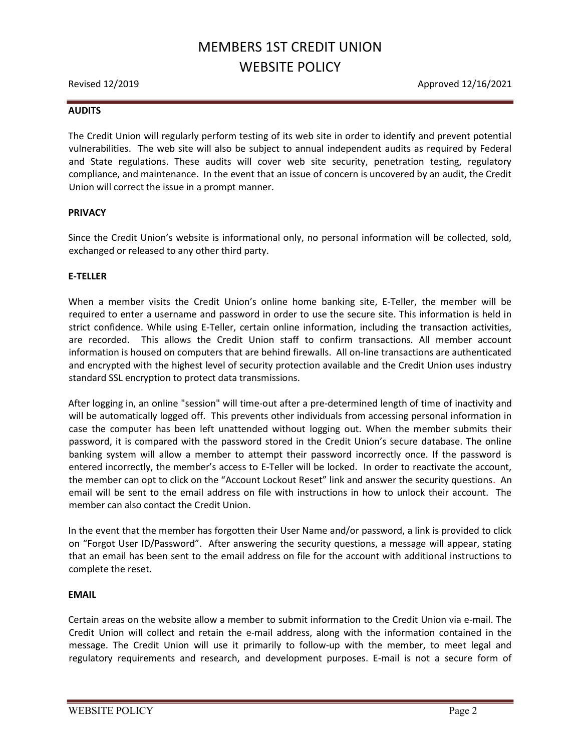# MEMBERS 1ST CREDIT UNION WEBSITE POLICY

Revised 12/2019 **Approved 12/16/2021** 

#### AUDITS

The Credit Union will regularly perform testing of its web site in order to identify and prevent potential vulnerabilities. The web site will also be subject to annual independent audits as required by Federal and State regulations. These audits will cover web site security, penetration testing, regulatory compliance, and maintenance. In the event that an issue of concern is uncovered by an audit, the Credit Union will correct the issue in a prompt manner.

#### PRIVACY

Since the Credit Union's website is informational only, no personal information will be collected, sold, exchanged or released to any other third party.

#### E-TELLER

When a member visits the Credit Union's online home banking site, E-Teller, the member will be required to enter a username and password in order to use the secure site. This information is held in strict confidence. While using E-Teller, certain online information, including the transaction activities, are recorded. This allows the Credit Union staff to confirm transactions. All member account information is housed on computers that are behind firewalls. All on-line transactions are authenticated and encrypted with the highest level of security protection available and the Credit Union uses industry standard SSL encryption to protect data transmissions.

After logging in, an online "session" will time-out after a pre-determined length of time of inactivity and will be automatically logged off. This prevents other individuals from accessing personal information in case the computer has been left unattended without logging out. When the member submits their password, it is compared with the password stored in the Credit Union's secure database. The online banking system will allow a member to attempt their password incorrectly once. If the password is entered incorrectly, the member's access to E-Teller will be locked. In order to reactivate the account, the member can opt to click on the "Account Lockout Reset" link and answer the security questions. An email will be sent to the email address on file with instructions in how to unlock their account. The member can also contact the Credit Union.

In the event that the member has forgotten their User Name and/or password, a link is provided to click on "Forgot User ID/Password". After answering the security questions, a message will appear, stating that an email has been sent to the email address on file for the account with additional instructions to complete the reset.

#### EMAIL

Certain areas on the website allow a member to submit information to the Credit Union via e-mail. The Credit Union will collect and retain the e-mail address, along with the information contained in the message. The Credit Union will use it primarily to follow-up with the member, to meet legal and regulatory requirements and research, and development purposes. E-mail is not a secure form of